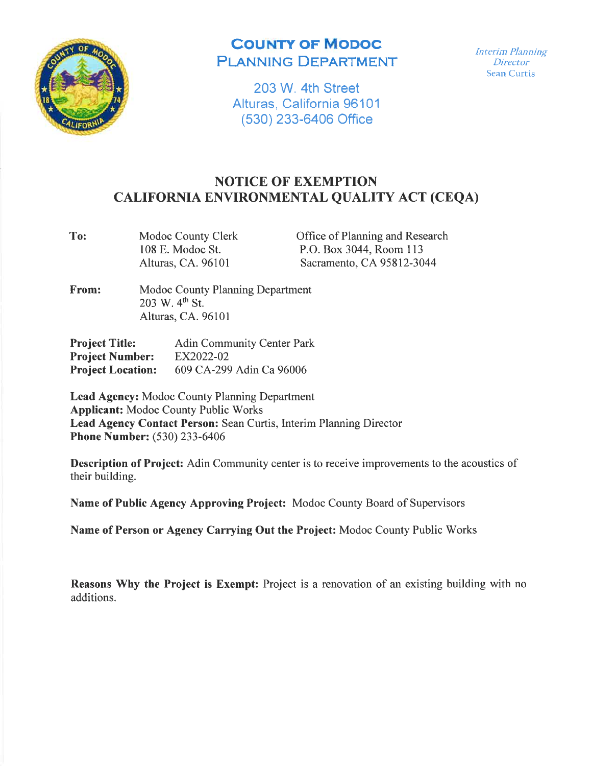

## **COUNTY OF MODOC** PLANNING DEPARTMENT

203 W. 4th Street Alturas, California 96101 (530) 233-6406 Office

Interim Planning **Director** Sean Curtis

## NOTICE OF EXEMPTION CALIFORNIA ENVIRONMENTAL QUALITY ACT (CEQA)

To: Modoc County Clerk 108 E. Modoc St. Alturas, CA. 96101

Office of Planning and Research P.O. Box 3044, Room <sup>113</sup> Sacramento, CA 95812-3044

From: Modoc County Planning Department 203 W.  $4^{th}$  St. Alturas, CA. 96101

| <b>Project Title:</b>    | <b>Adin Community Center Park</b> |
|--------------------------|-----------------------------------|
| <b>Project Number:</b>   | EX2022-02                         |
| <b>Project Location:</b> | 609 CA-299 Adin Ca 96006          |

Lead Agency: Modoc County Planning Department Applicant: Modoc County Public Works Lead Agency Contact Person: Sean Curtis, Interim Planning Director Phone Number: (530) 233 -6406

Description of Project: Adin Community center is to receive improvements to the acoustics of their building.

Name of Public Agency Approving Project: Modoc County Board of Supervisors

Name of Person or Agency Carrying Out the Project: Modoc County Public Works

Reasons Why the Project is Exempt: Project is a renovation of an existing building with no additions.